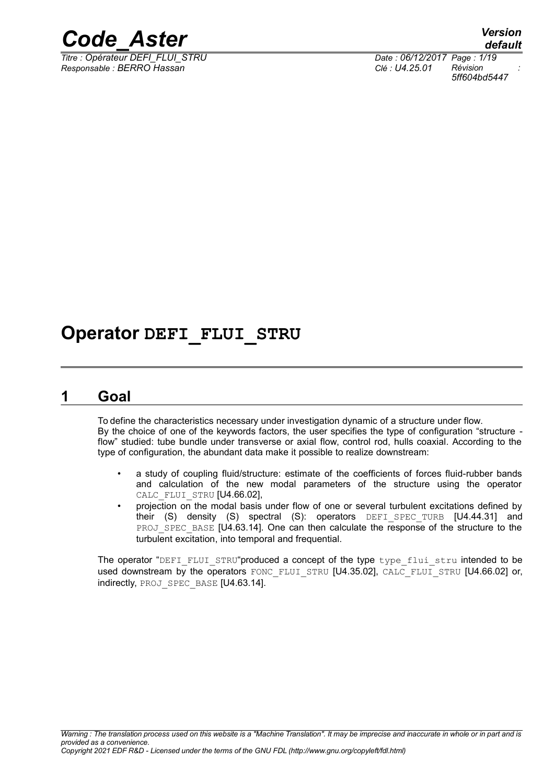

*default Titre : Opérateur DEFI\_FLUI\_STRU Date : 06/12/2017 Page : 1/19 5ff604bd5447*

## **Operator DEFI\_FLUI\_STRU**

### **1 Goal**

To define the characteristics necessary under investigation dynamic of a structure under flow. By the choice of one of the keywords factors, the user specifies the type of configuration "structure flow" studied: tube bundle under transverse or axial flow, control rod, hulls coaxial. According to the type of configuration, the abundant data make it possible to realize downstream:

- a study of coupling fluid/structure: estimate of the coefficients of forces fluid-rubber bands and calculation of the new modal parameters of the structure using the operator CALC\_FLUI\_STRU [U4.66.02],
- projection on the modal basis under flow of one or several turbulent excitations defined by their (S) density (S) spectral (S): operators DEFI SPEC TURB [U4.44.31] and PROJ\_SPEC\_BASE [U4.63.14]. One can then calculate the response of the structure to the turbulent excitation, into temporal and frequential.

The operator "DEFI\_FLUI\_STRU"produced a concept of the type type flui\_stru intended to be used downstream by the operators FONC\_FLUI\_STRU [U4.35.02], CALC\_FLUI\_STRU [U4.66.02] or, indirectly, PROJ\_SPEC\_BASE [U4.63.14].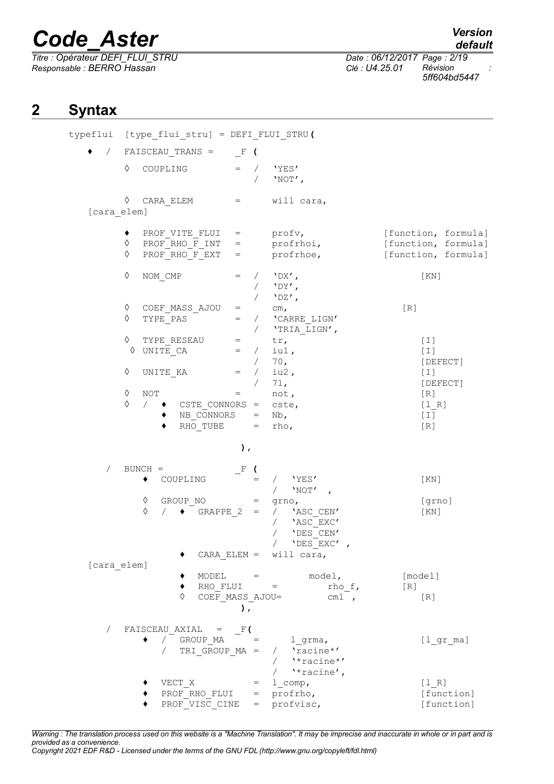*Titre : Opérateur DEFI\_FLUI\_STRU Date : 06/12/2017 Page : 2/19 Responsable : BERRO Hassan Clé : U4.25.01 Révision :*

*default*

*5ff604bd5447*

## **2 Syntax**

|             |                                    | typeflui [type_flui_stru] = DEFI_FLUI_STRU(                                   |                                                      |                                                                                           |                                                                   |
|-------------|------------------------------------|-------------------------------------------------------------------------------|------------------------------------------------------|-------------------------------------------------------------------------------------------|-------------------------------------------------------------------|
| $\sqrt{2}$  |                                    | $FAISCEAU_TRANS = \t F$ (                                                     |                                                      |                                                                                           |                                                                   |
|             | ♦                                  | COUPLING                                                                      |                                                      | $=$ / $'YES'$<br>'NOT',                                                                   |                                                                   |
|             | ♦                                  | $CARA$ $ELEM$ =                                                               |                                                      | will cara,                                                                                |                                                                   |
| [cara elem] |                                    |                                                                               |                                                      |                                                                                           |                                                                   |
|             | ٠<br>♦<br>♦                        | PROF VITE FLUI = $\qquad \qquad$ profv,<br>PROF RHO F INT =<br>PROF RHO F EXT | $=$                                                  | profrhoi,<br>profrhoe,                                                                    | [function, formula]<br>[function, formula]<br>[function, formula] |
|             | ♦                                  | NOM CMP                                                                       | $=$<br>$\sqrt{2}$                                    | $'$ DX $'$ ,<br>$'$ DY',<br>$'$ DZ',                                                      | [KN]                                                              |
|             | ♦<br>♦                             | COEF MASS AJOU<br>TYPE PAS                                                    | $\equiv$ 1000 $\pm$<br>$=$                           | $\mathsf{cm}_{\,\boldsymbol{\prime}}$<br>/ 'CARRE LIGN'<br>/ $\lq\texttt{'TRIA\_LIGN'}$ , | [R]                                                               |
|             | ♦<br>♦<br>♦                        | TYPE RESEAU<br>UNITE CA<br>UNITE KA                                           | $\equiv$ 100 $\pm$<br>$=$<br>$=$ /                   | tr,<br>$/$ iul,<br>/ 70,<br>iu2,                                                          | $[1]$<br>$[1]$<br>[DEFECT]<br>$[1]$                               |
|             |                                    |                                                                               |                                                      | 71,                                                                                       | [DEFECT]                                                          |
|             | ♦<br><b>NOT</b><br>♦<br>$\sqrt{2}$ | CSTE CONNORS = $\csc$ ,<br>NB CONNORS<br>RHO TUBE                             | $=$ $\sim$ $\sim$                                    | not,<br>$=$ Nb,<br>$=$ rho,                                                               | [R]<br>[1 R]<br>$[1]$<br>[R]                                      |
|             |                                    |                                                                               | $\,$ ,                                               |                                                                                           |                                                                   |
| $\sqrt{2}$  | $BUNCH =$                          |                                                                               | $F$ (                                                |                                                                                           |                                                                   |
|             | ٠                                  | COUPLING                                                                      | $=$                                                  | 'YES'<br>$\sqrt{2}$<br>'NOT' ,                                                            | [KN]                                                              |
|             | ♦<br>♦                             | GROUP NO<br>$\bullet$ GRAPPE 2<br>$\sqrt{2}$                                  | $=$ $\qquad$<br>$=$                                  | grno,<br>/ 'ASC CEN'<br>'ASC EXC'<br>'DES CEN'<br>'DES EXC'<br>CARA ELEM = $will$ cara,   | [grno]<br>[KN]                                                    |
| [cara elem] |                                    |                                                                               |                                                      |                                                                                           |                                                                   |
|             |                                    | ♦                                                                             | $MODEL =$<br>$RHO$ $FLUI$ =<br>COEF MASS AJOU=<br>), | $model$ ,<br>rho f,<br>cm1 ,                                                              | [model]<br>[R]<br>[R]                                             |
| $\sqrt{2}$  | ٠                                  | FAISCEAU AXIAL $=$ F(<br>/ GROUP MA = 1 grma,                                 |                                                      | TRI GROUP $MA = / 'racine*'$<br>$/$ '*racine*'                                            | $[1$ gr ma]                                                       |
|             |                                    | VECT X<br>PROF RHO FLUI = $profrho,$<br>PROF VISC CINE                        |                                                      | / $\sqrt{x}$ racine',<br>$=$ 1 comp,<br>= profvisc,                                       | [1 R]<br>[function]<br>[function]                                 |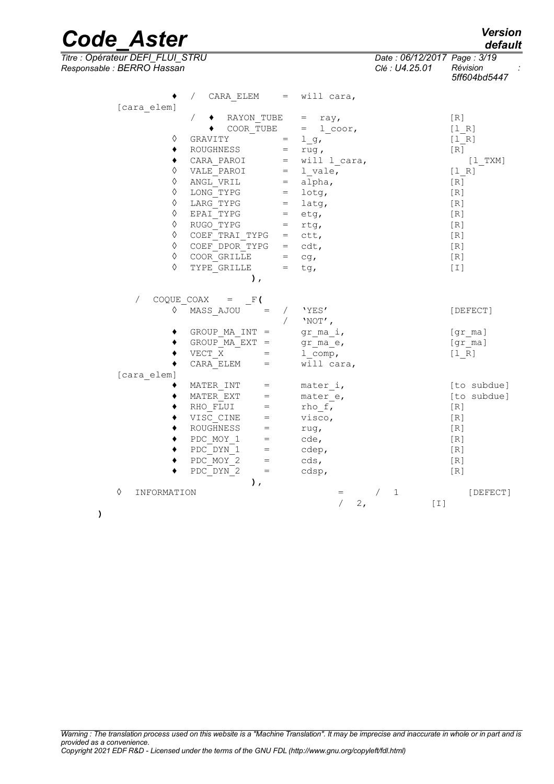*Titre : Opérateur DEFI\_FLUI\_STRU Date : 06/12/2017 Page : 3/19 Responsable : BERRO Hassan Clé : U4.25.01 Révision :*

| Warning: The translation process used on this website is a "Machine Translation". It may be imprecise and inaccurate in whole or in part and is |  |
|-------------------------------------------------------------------------------------------------------------------------------------------------|--|
|                                                                                                                                                 |  |
|                                                                                                                                                 |  |
|                                                                                                                                                 |  |

*provided as a convenience. Copyright 2021 EDF R&D - Licensed under the terms of the GNU FDL (http://www.gnu.org/copyleft/fdl.html)*

| [cara elem]      | $\sqrt{2}$<br>CARA ELEM                        | $\mathbf{r} = \mathbf{r}$ | will cara,                     |     |                 |
|------------------|------------------------------------------------|---------------------------|--------------------------------|-----|-----------------|
|                  | RAYON TUBE                                     |                           | $=$<br>ray,                    |     | [R]             |
|                  | COOR TUBE                                      |                           | $=$<br>1 coor,                 |     | [1 R]           |
| ♦                | GRAVITY                                        | $=$                       | l g,                           |     | [1 R]           |
| ٠                | ROUGHNESS                                      | $=$                       | rug,                           |     | [R]             |
| ٠                | CARA PAROI                                     |                           | $=$ will $\frac{1}{2}$ cara,   |     | $\lceil$ 1 TXM] |
| ♦                | VALE PAROI                                     | $=$                       | 1 vale,                        |     | [1 R]           |
| ♦                | ANGL VRIL                                      | $=$                       | alpha,                         |     | [R]             |
| ♦                | LONG TYPG                                      | $=$                       | lotg,                          |     | [R]             |
| ♦                | LARG TYPG                                      | $=$                       | latg,                          |     | [R]             |
| ♦                | EPAI TYPG                                      | $=$                       | etg,                           |     | [R]             |
| ♦                | RUGO TYPG                                      | $=$                       | rtg,                           |     | [R]             |
| ♦                | COEF TRAI TYPG                                 |                           | $=$ ctt,                       |     | [R]             |
| ♦                | COEF DPOR TYPG                                 |                           | $=$ cdt,                       |     | [R]             |
| ♦                | COOR GRILLE                                    |                           | $=$ cg,                        | [R] |                 |
| ♦                | TYPE GRILLE                                    | $=$                       | tg,                            |     | [I]             |
|                  | λ,                                             |                           |                                |     |                 |
| $\sqrt{2}$       | $COQUE COAX = F($                              |                           |                                |     |                 |
| ♦                | MASS AJOU<br>$\hspace{1.6cm} = \hspace{1.6cm}$ | $\sqrt{2}$                | 'YES'                          |     | [DEFECT]        |
|                  |                                                |                           | $'NOT'$ ,                      |     |                 |
|                  | GROUP MA INT =                                 |                           | gr ma i,                       |     | [gr ma]         |
|                  | GROUP MA $EXT =$                               |                           | gr ma e,                       |     | [gr ma]         |
|                  | VECT X<br>$\hspace{1.6cm} = \hspace{1.6cm}$    |                           | $1$ comp,                      |     | [1 R]           |
|                  | CARA ELEM<br>$=$                               |                           | will cara,                     |     |                 |
| [cara elem]      |                                                |                           |                                |     |                 |
|                  | MATER INT<br>$=$                               |                           | mater i,                       |     | [to subdue]     |
|                  | MATER EXT                                      |                           | mater e,                       |     | [to subdue]     |
|                  | RHO FLUI<br>$=$                                |                           | rho f,                         |     | [R]             |
|                  | VISC CINE<br>$=$                               |                           | visco,                         |     | [R]             |
|                  | ROUGHNESS<br>$=$<br>$=$                        |                           | rug,                           |     | [R]             |
|                  | PDC MOY 1<br>PDC DYN 1<br>$=$                  |                           | cde,                           |     | [R]<br>[R]      |
|                  | PDC MOY 2<br>$=$                               |                           | cdep,<br>cds,                  |     | [R]             |
|                  | PDC DYN 2<br>$=$                               |                           | cdsp,                          | [R] |                 |
|                  | $\lambda$ ,                                    |                           |                                |     |                 |
| ♦<br>INFORMATION |                                                |                           | $\mathbf 1$<br>$=$<br>$\prime$ |     | [DEFECT]        |
|                  |                                                |                           | 2,                             | [I] |                 |
|                  |                                                |                           |                                |     |                 |

*default*

*5ff604bd5447*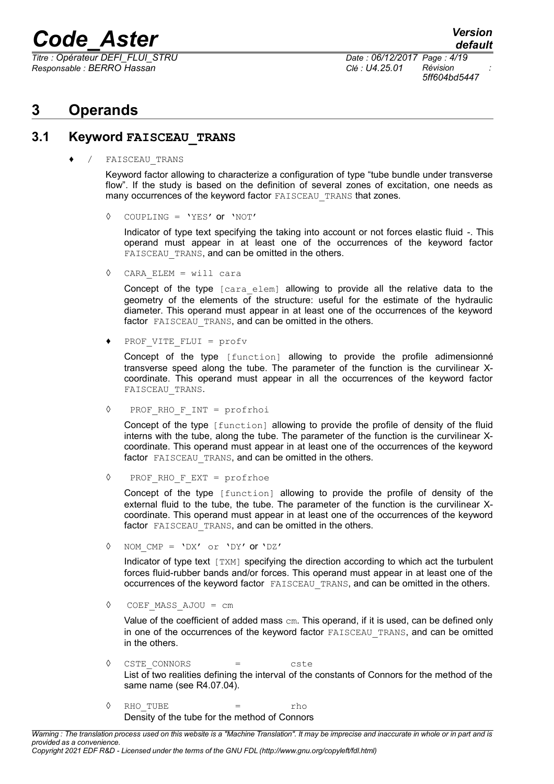*Titre : Opérateur DEFI\_FLUI\_STRU Date : 06/12/2017 Page : 4/19 Responsable : BERRO Hassan Clé : U4.25.01 Révision :*

*5ff604bd5447*

### **3 Operands**

#### **3.1 Keyword FAISCEAU\_TRANS**

FAISCEAU TRANS

Keyword factor allowing to characterize a configuration of type "tube bundle under transverse flow". If the study is based on the definition of several zones of excitation, one needs as many occurrences of the keyword factor FAISCEAU TRANS that zones.

◊ COUPLING = 'YES' or 'NOT'

Indicator of type text specifying the taking into account or not forces elastic fluid -. This operand must appear in at least one of the occurrences of the keyword factor FAISCEAU TRANS, and can be omitted in the others.

◊ CARA\_ELEM = will cara

Concept of the type [cara elem] allowing to provide all the relative data to the geometry of the elements of the structure: useful for the estimate of the hydraulic diameter. This operand must appear in at least one of the occurrences of the keyword factor FAISCEAU TRANS, and can be omitted in the others.

PROF VITE FLUI = profv

Concept of the type [function] allowing to provide the profile adimensionné transverse speed along the tube. The parameter of the function is the curvilinear Xcoordinate. This operand must appear in all the occurrences of the keyword factor FAISCEAU\_TRANS.

◊ PROF\_RHO\_F\_INT = profrhoi

Concept of the type [function] allowing to provide the profile of density of the fluid interns with the tube, along the tube. The parameter of the function is the curvilinear Xcoordinate. This operand must appear in at least one of the occurrences of the keyword factor FAISCEAU TRANS, and can be omitted in the others.

◊ PROF\_RHO\_F\_EXT = profrhoe

Concept of the type [function] allowing to provide the profile of density of the external fluid to the tube, the tube. The parameter of the function is the curvilinear Xcoordinate. This operand must appear in at least one of the occurrences of the keyword factor FAISCEAU TRANS, and can be omitted in the others.

◊ NOM\_CMP = 'DX' or 'DY' or 'DZ'

Indicator of type text [TXM] specifying the direction according to which act the turbulent forces fluid-rubber bands and/or forces. This operand must appear in at least one of the occurrences of the keyword factor FAISCEAU\_TRANS, and can be omitted in the others.

◊ COEF\_MASS\_AJOU = cm

Value of the coefficient of added mass cm. This operand, if it is used, can be defined only in one of the occurrences of the keyword factor FAISCEAU TRANS, and can be omitted in the others.

- ◊ CSTE\_CONNORS = cste List of two realities defining the interval of the constants of Connors for the method of the same name (see R4.07.04).
- ◊ RHO\_TUBE = rho Density of the tube for the method of Connors

*Warning : The translation process used on this website is a "Machine Translation". It may be imprecise and inaccurate in whole or in part and is provided as a convenience.*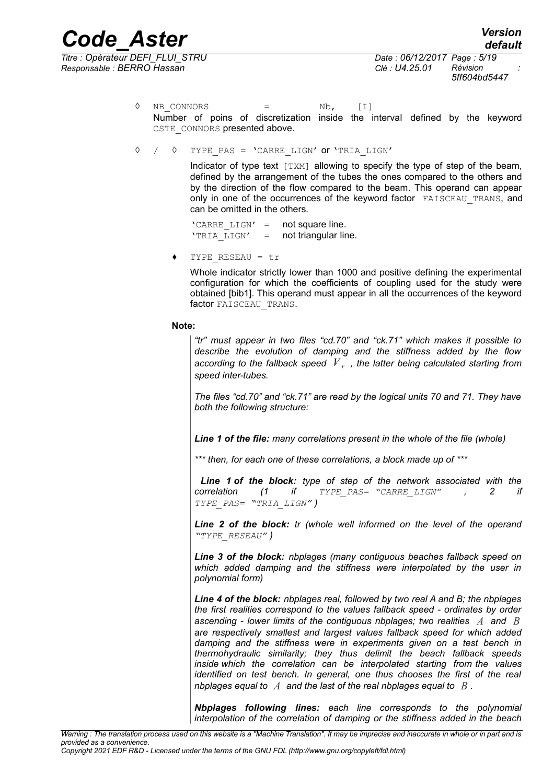*Titre : Opérateur DEFI\_FLUI\_STRU Date : 06/12/2017 Page : 5/19 Responsable : BERRO Hassan Clé : U4.25.01 Révision :*

*5ff604bd5447*

 $\Diamond$  NB CONNORS = Nb, [I] Number of poins of discretization inside the interval defined by the keyword CSTE\_CONNORS presented above.

◊ / ◊ TYPE\_PAS = 'CARRE\_LIGN' or 'TRIA\_LIGN'

Indicator of type text [TXM] allowing to specify the type of step of the beam, defined by the arrangement of the tubes the ones compared to the others and by the direction of the flow compared to the beam. This operand can appear only in one of the occurrences of the keyword factor FAISCEAU TRANS, and can be omitted in the others.

'CARRE  $LIGN' = \text{not square line.}$ 'TRIA LIGN' = not triangular line.

♦ TYPE\_RESEAU = tr

Whole indicator strictly lower than 1000 and positive defining the experimental configuration for which the coefficients of coupling used for the study were obtained [bib1]. This operand must appear in all the occurrences of the keyword factor FAISCEAU TRANS.

**Note:**

*"tr" must appear in two files "cd.70" and "ck.71" which makes it possible to describe the evolution of damping and the stiffness added by the flow according to the fallback speed V <sup>r</sup> , the latter being calculated starting from speed inter-tubes.*

*The files "cd.70" and "ck.71" are read by the logical units 70 and 71. They have both the following structure:* 

*Line 1 of the file: many correlations present in the whole of the file (whole)*

*\*\*\* then, for each one of these correlations, a block made up of \*\*\**

*Line 1 of the block: type of step of the network associated with the correlation (1 if TYPE\_PAS= "CARRE\_LIGN" , 2 if TYPE\_PAS= "TRIA\_LIGN" )*

*Line 2 of the block: tr (whole well informed on the level of the operand "TYPE\_RESEAU" )*

*Line 3 of the block: nbplages (many contiguous beaches fallback speed on which added damping and the stiffness were interpolated by the user in polynomial form)*

*Line 4 of the block: nbplages real, followed by two real A and B; the nbplages the first realities correspond to the values fallback speed - ordinates by order ascending - lower limits of the contiguous nbplages; two realities A and B are respectively smallest and largest values fallback speed for which added damping and the stiffness were in experiments given on a test bench in thermohydraulic similarity; they thus delimit the beach fallback speeds inside which the correlation can be interpolated starting from the values identified on test bench. In general, one thus chooses the first of the real nbplages equal to A and the last of the real nbplages equal to B .*

*Nbplages following lines: each line corresponds to the polynomial interpolation of the correlation of damping or the stiffness added in the beach*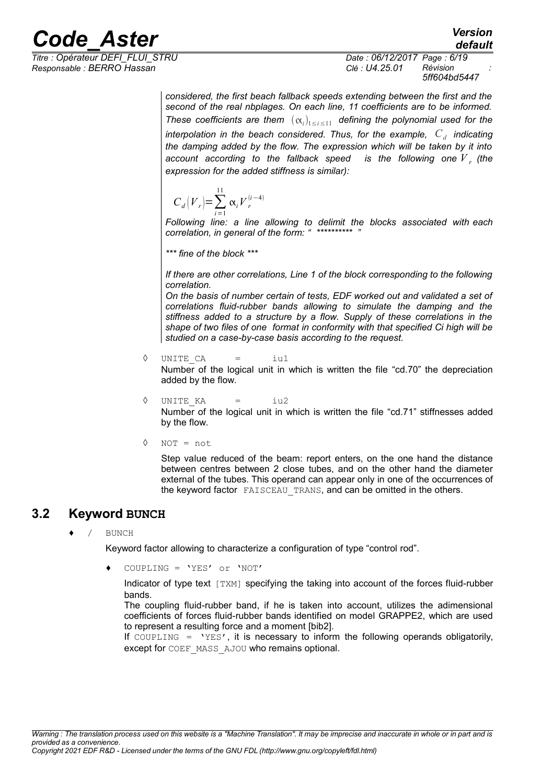*Responsable : BERRO Hassan Clé : U4.25.01 Révision :*

*Titre : Opérateur DEFI\_FLUI\_STRU Date : 06/12/2017 Page : 6/19 5ff604bd5447*

*default*

*considered, the first beach fallback speeds extending between the first and the second of the real nbplages. On each line, 11 coefficients are to be informed. These coefficients are them*  $(\alpha_i)_{1 \leq i \leq 11}$  defining the polynomial used for the *interpolation in the beach considered. Thus, for the example, C<sup>d</sup> indicating the damping added by the flow. The expression which will be taken by it into* account according to the fallback speed  $\;$  is the following one  $\overline{V}_{\;r}$  (the *expression for the added stiffness is similar):*

$$
C_d\big|V_r\big| = \sum_{i=1}^{11} \alpha_i V_r^{(i-4)}
$$

*Following line: a line allowing to delimit the blocks associated with each correlation, in general of the form: " \*\*\*\*\*\*\*\*\*\* "*

*\*\*\* fine of the block \*\*\**

#### *If there are other correlations, Line 1 of the block corresponding to the following correlation.*

*On the basis of number certain of tests, EDF worked out and validated a set of correlations fluid-rubber bands allowing to simulate the damping and the stiffness added to a structure by a flow. Supply of these correlations in the shape of two files of one format in conformity with that specified Ci high will be studied on a case-by-case basis according to the request.*

◊ UNITE\_CA = iu1 Number of the logical unit in which is written the file "cd.70" the depreciation added by the flow.

◊ UNITE\_KA = iu2 Number of the logical unit in which is written the file "cd.71" stiffnesses added by the flow.

◊ NOT = not

Step value reduced of the beam: report enters, on the one hand the distance between centres between 2 close tubes, and on the other hand the diameter external of the tubes. This operand can appear only in one of the occurrences of the keyword factor FAISCEAU\_TRANS, and can be omitted in the others.

### **3.2 Keyword BUNCH**

BUNCH

Keyword factor allowing to characterize a configuration of type "control rod".

 $COUPLING = 'YES' or 'NOT'$ 

Indicator of type text [TXM] specifying the taking into account of the forces fluid-rubber bands.

The coupling fluid-rubber band, if he is taken into account, utilizes the adimensional coefficients of forces fluid-rubber bands identified on model GRAPPE2, which are used to represent a resulting force and a moment [bib2].

If COUPLING = 'YES', it is necessary to inform the following operands obligatorily, except for COEF\_MASS\_AJOU who remains optional.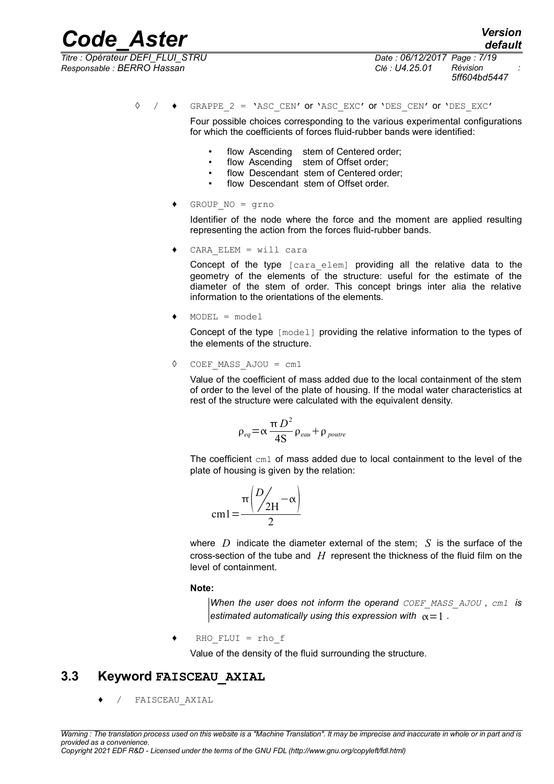*Titre : Opérateur DEFI\_FLUI\_STRU Date : 06/12/2017 Page : 7/19*

*5ff604bd5447*

 $\Diamond$  /  $\bullet$  GRAPPE 2 = 'ASC CEN' or 'ASC EXC' or 'DES CEN' or 'DES EXC'

Four possible choices corresponding to the various experimental configurations for which the coefficients of forces fluid-rubber bands were identified:

- flow Ascending stem of Centered order;
- flow Ascending stem of Offset order;
- flow Descendant stem of Centered order;
- flow Descendant stem of Offset order.
- ♦ GROUP\_NO = grno

Identifier of the node where the force and the moment are applied resulting representing the action from the forces fluid-rubber bands.

 $CARA$  ELEM = will cara

Concept of the type [cara elem] providing all the relative data to the geometry of the elements of the structure: useful for the estimate of the diameter of the stem of order. This concept brings inter alia the relative information to the orientations of the elements.

 $MODEL = model$ 

Concept of the type [model] providing the relative information to the types of the elements of the structure.

◊ COEF\_MASS\_AJOU = cm1

Value of the coefficient of mass added due to the local containment of the stem of order to the level of the plate of housing. If the modal water characteristics at rest of the structure were calculated with the equivalent density.

$$
\rho_{eq} = \alpha \frac{\pi D^2}{4S} \rho_{eau} + \rho_{pouter}
$$

The coefficient cm1 of mass added due to local containment to the level of the plate of housing is given by the relation:

$$
cm1 = \frac{\pi \left(\frac{D}{2H} - \alpha\right)}{2}
$$

where *D* indicate the diameter external of the stem; *S* is the surface of the cross-section of the tube and *H* represent the thickness of the fluid film on the level of containment.

#### **Note:**

*When the user does not inform the operand COEF\_MASS\_AJOU , cm1 is estimated automatically using this expression with*  $\alpha = 1$ .

 $RHO$  FLUI = rho f

Value of the density of the fluid surrounding the structure.

#### **3.3 Keyword FAISCEAU\_AXIAL**

/ FAISCEAU AXIAL

*Copyright 2021 EDF R&D - Licensed under the terms of the GNU FDL (http://www.gnu.org/copyleft/fdl.html)*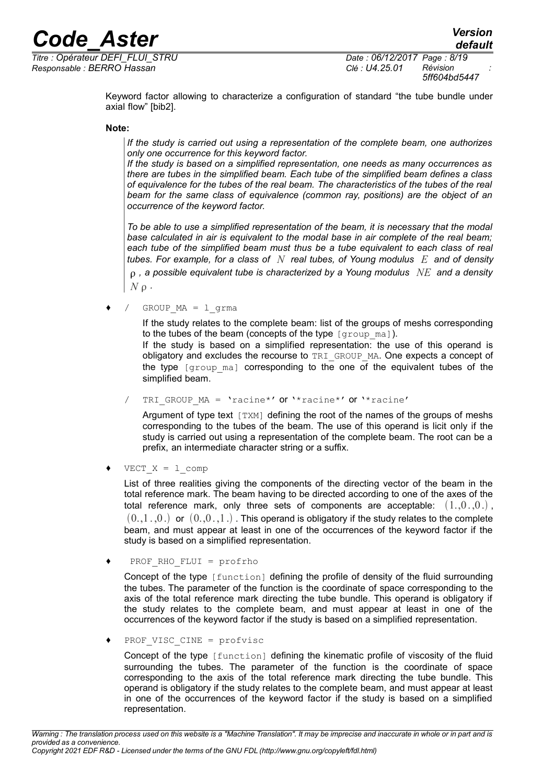*Titre : Opérateur DEFI\_FLUI\_STRU Date : 06/12/2017 Page : 8/19 Responsable : BERRO Hassan Clé : U4.25.01 Révision :*

*5ff604bd5447*

Keyword factor allowing to characterize a configuration of standard "the tube bundle under axial flow" [bib2].

#### **Note:**

*If the study is carried out using a representation of the complete beam, one authorizes only one occurrence for this keyword factor.*

*If the study is based on a simplified representation, one needs as many occurrences as there are tubes in the simplified beam. Each tube of the simplified beam defines a class of equivalence for the tubes of the real beam. The characteristics of the tubes of the real beam for the same class of equivalence (common ray, positions) are the object of an occurrence of the keyword factor.*

*To be able to use a simplified representation of the beam, it is necessary that the modal base calculated in air is equivalent to the modal base in air complete of the real beam; each tube of the simplified beam must thus be a tube equivalent to each class of real tubes. For example, for a class of N real tubes, of Young modulus E and of density , a possible equivalent tube is characterized by a Young modulus NE and a density*  $N \rho$ .

 $GROUPMA = 1$  grma

If the study relates to the complete beam: list of the groups of meshs corresponding to the tubes of the beam (concepts of the type  $\lceil q \text{row mal} \rceil$ ).

If the study is based on a simplified representation: the use of this operand is obligatory and excludes the recourse to TRI\_GROUP\_MA. One expects a concept of the type  $[q_{\text{roup mal}}]$  corresponding to the one of the equivalent tubes of the simplified beam.

TRI GROUP  $MA = 'rache'$  or '\*racine\*' or '\*racine'

Argument of type text  $[TXM]$  defining the root of the names of the groups of meshs corresponding to the tubes of the beam. The use of this operand is licit only if the study is carried out using a representation of the complete beam. The root can be a prefix, an intermediate character string or a suffix.

 $VECT X = 1$  comp

List of three realities giving the components of the directing vector of the beam in the total reference mark. The beam having to be directed according to one of the axes of the total reference mark, only three sets of components are acceptable:  $(1,0,0)$ ,  $(0,1,0)$  or  $(0,0,1)$ . This operand is obligatory if the study relates to the complete beam, and must appear at least in one of the occurrences of the keyword factor if the study is based on a simplified representation.

PROF\_RHO\_FLUI =  $profrho$ 

Concept of the type [function] defining the profile of density of the fluid surrounding the tubes. The parameter of the function is the coordinate of space corresponding to the axis of the total reference mark directing the tube bundle. This operand is obligatory if the study relates to the complete beam, and must appear at least in one of the occurrences of the keyword factor if the study is based on a simplified representation.

PROF VISC CINE =  $profvisc$ 

Concept of the type [function] defining the kinematic profile of viscosity of the fluid surrounding the tubes. The parameter of the function is the coordinate of space corresponding to the axis of the total reference mark directing the tube bundle. This operand is obligatory if the study relates to the complete beam, and must appear at least in one of the occurrences of the keyword factor if the study is based on a simplified representation.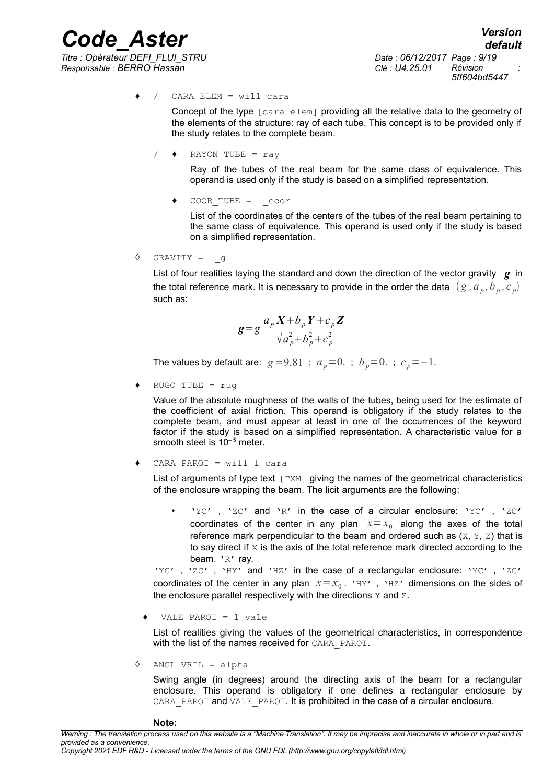*Titre : Opérateur DEFI\_FLUI\_STRU Date : 06/12/2017 Page : 9/19 Responsable : BERRO Hassan Clé : U4.25.01 Révision :*

*default 5ff604bd5447*

$$
\bullet \quad / \quad \text{CARA ELEM} = \text{will cara}
$$

Concept of the type [cara\_elem] providing all the relative data to the geometry of the elements of the structure: ray of each tube. This concept is to be provided only if the study relates to the complete beam.

$$
\angle \qquad \qquad \text{RAYON\_TUBE} = \text{ray}
$$

Ray of the tubes of the real beam for the same class of equivalence. This operand is used only if the study is based on a simplified representation.

♦ COOR\_TUBE = l\_coor

List of the coordinates of the centers of the tubes of the real beam pertaining to the same class of equivalence. This operand is used only if the study is based on a simplified representation.

 $\Diamond$  GRAVITY = 1 q

List of four realities laying the standard and down the direction of the vector gravity *g* in the total reference mark. It is necessary to provide in the order the data  $(g$  *,*  $a_{_p},$  $b_{_p},$  *c*  $_{_p})$ such as:

$$
\mathbf{g} = g \frac{a_p X + b_p Y + c_p Z}{\sqrt{a_p^2 + b_p^2 + c_p^2}}
$$

The values by default are:  $g = 9.81$ ;  $a_p = 0$ .;  $b_p = 0$ .;  $c_p = -1$ .

 $RUGO$  TUBE = rug

Value of the absolute roughness of the walls of the tubes, being used for the estimate of the coefficient of axial friction. This operand is obligatory if the study relates to the complete beam, and must appear at least in one of the occurrences of the keyword factor if the study is based on a simplified representation. A characteristic value for a smooth steel is  $10^{-5}$  meter.

 $CARA$  PAROI = will l cara

List of arguments of type text [TXM] giving the names of the geometrical characteristics of the enclosure wrapping the beam. The licit arguments are the following:

'YC', 'ZC' and 'R' in the case of a circular enclosure: 'YC', 'ZC' coordinates of the center in any plan  $x=x_0$  along the axes of the total reference mark perpendicular to the beam and ordered such as  $(X, Y, Z)$  that is to say direct if  $X$  is the axis of the total reference mark directed according to the beam. 'R' ray.

'YC', 'ZC', 'HY' and 'HZ' in the case of a rectangular enclosure: 'YC', 'ZC' coordinates of the center in any plan  $x=x_0$ . 'HY', 'HZ' dimensions on the sides of the enclosure parallel respectively with the directions  $Y$  and  $Z$ .

♦ VALE\_PAROI = l\_vale

List of realities giving the values of the geometrical characteristics, in correspondence with the list of the names received for CARA\_PAROI.

◊ ANGL\_VRIL = alpha

Swing angle (in degrees) around the directing axis of the beam for a rectangular enclosure. This operand is obligatory if one defines a rectangular enclosure by CARA PAROI and VALE PAROI. It is prohibited in the case of a circular enclosure.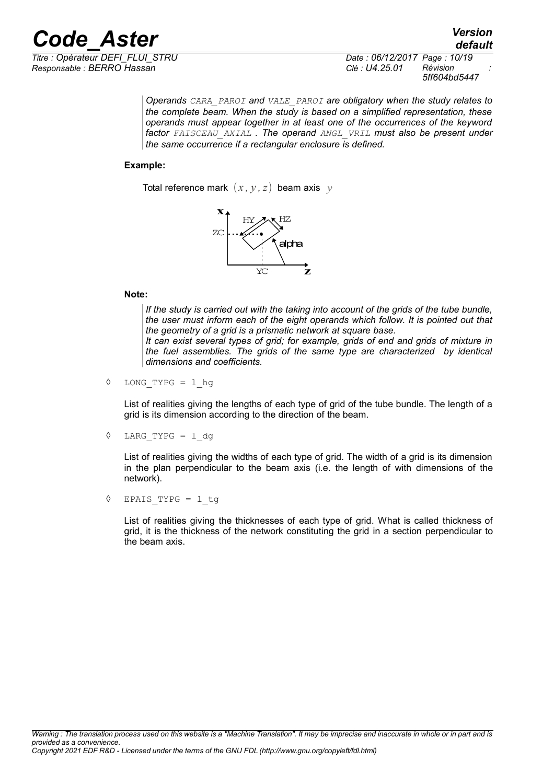

*Titre : Opérateur DEFI\_FLUI\_STRU Date : 06/12/2017 Page : 10/19 5ff604bd5447*

*default*

*Operands CARA\_PAROI and VALE\_PAROI are obligatory when the study relates to the complete beam. When the study is based on a simplified representation, these operands must appear together in at least one of the occurrences of the keyword factor FAISCEAU\_AXIAL . The operand ANGL\_VRIL must also be present under the same occurrence if a rectangular enclosure is defined.*

#### **Example:**

Total reference mark  $(x, y, z)$  beam axis  $y$ 



#### **Note:**

*If the study is carried out with the taking into account of the grids of the tube bundle, the user must inform each of the eight operands which follow. It is pointed out that the geometry of a grid is a prismatic network at square base. It can exist several types of grid; for example, grids of end and grids of mixture in the fuel assemblies. The grids of the same type are characterized by identical dimensions and coefficients.*

◊ LONG\_TYPG = l\_hg

List of realities giving the lengths of each type of grid of the tube bundle. The length of a grid is its dimension according to the direction of the beam.

◊ LARG\_TYPG = l\_dg

List of realities giving the widths of each type of grid. The width of a grid is its dimension in the plan perpendicular to the beam axis (i.e. the length of with dimensions of the network).

◊ EPAIS\_TYPG = l\_tg

List of realities giving the thicknesses of each type of grid. What is called thickness of grid, it is the thickness of the network constituting the grid in a section perpendicular to the beam axis.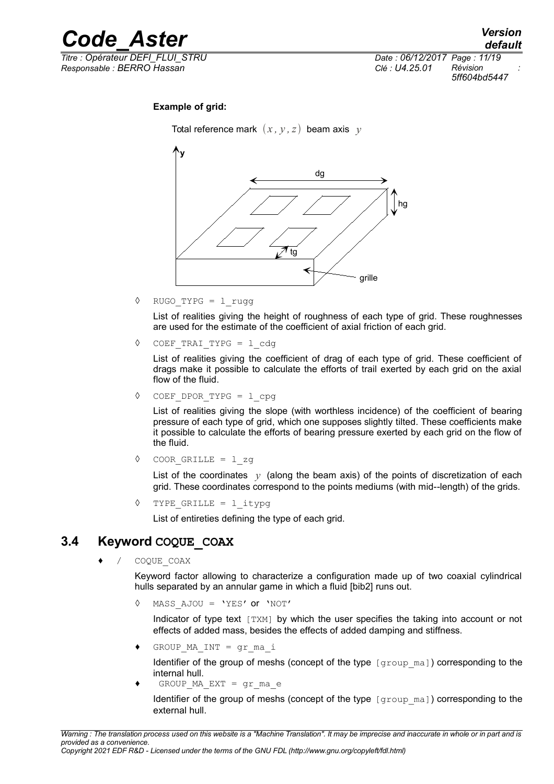

*default Titre : Opérateur DEFI\_FLUI\_STRU Date : 06/12/2017 Page : 11/19 5ff604bd5447*

#### **Example of grid:**

Total reference mark  $(x, y, z)$  beam axis  $y$ 



◊ RUGO\_TYPG = l\_rugg

List of realities giving the height of roughness of each type of grid. These roughnesses are used for the estimate of the coefficient of axial friction of each grid.

◊ COEF\_TRAI\_TYPG = l\_cdg

List of realities giving the coefficient of drag of each type of grid. These coefficient of drags make it possible to calculate the efforts of trail exerted by each grid on the axial flow of the fluid.

◊ COEF\_DPOR\_TYPG = l\_cpg

List of realities giving the slope (with worthless incidence) of the coefficient of bearing pressure of each type of grid, which one supposes slightly tilted. These coefficients make it possible to calculate the efforts of bearing pressure exerted by each grid on the flow of the fluid.

◊ COOR\_GRILLE = l\_zg

List of the coordinates  $y$  (along the beam axis) of the points of discretization of each grid. These coordinates correspond to the points mediums (with mid--length) of the grids.

◊ TYPE\_GRILLE = l\_itypg

List of entireties defining the type of each grid.

#### **3.4 Keyword COQUE\_COAX**

COQUE COAX

Keyword factor allowing to characterize a configuration made up of two coaxial cylindrical hulls separated by an annular game in which a fluid [bib2] runs out.

◊ MASS\_AJOU = 'YES' or 'NOT'

Indicator of type text  $[TXM]$  by which the user specifies the taking into account or not effects of added mass, besides the effects of added damping and stiffness.

GROUP MA INT =  $qr$  ma i

Identifier of the group of meshs (concept of the type  $[qrowm]$ ) corresponding to the internal hull.

GROUP MA EXT = gr ma e

Identifier of the group of meshs (concept of the type [group ma]) corresponding to the external hull.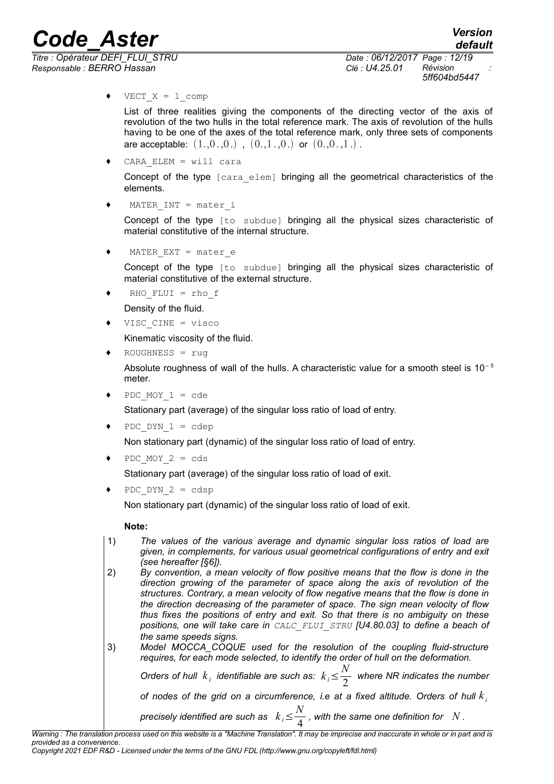*Titre : Opérateur DEFI\_FLUI\_STRU Date : 06/12/2017 Page : 12/19 Responsable : BERRO Hassan Clé : U4.25.01 Révision :*

*5ff604bd5447*

 $\blacklozenge$  VECT  $X = 1$  comp

List of three realities giving the components of the directing vector of the axis of revolution of the two hulls in the total reference mark. The axis of revolution of the hulls having to be one of the axes of the total reference mark, only three sets of components are acceptable:  $(1,0,0)$ ,  $(0,1,0)$  or  $(0,0,1)$ .

 $CARA$  ELEM = will cara

Concept of the type [cara elem] bringing all the geometrical characteristics of the elements.

 $MATER$  INT = mater i

Concept of the type [to subdue] bringing all the physical sizes characteristic of material constitutive of the internal structure.

MATER EXT = mater  $e$ 

Concept of the type [to subdue] bringing all the physical sizes characteristic of material constitutive of the external structure.

 $RHO$  FLUI = rho f

Density of the fluid.

VISC CINE = visco

Kinematic viscosity of the fluid.

 $ROUGHNESS = rug$ 

Absolute roughness of wall of the hulls. A characteristic value for a smooth steel is  $10^{-5}$ meter.

PDC MOY  $1 = cde$ 

Stationary part (average) of the singular loss ratio of load of entry.

PDC DYN  $1 = cdep$ 

Non stationary part (dynamic) of the singular loss ratio of load of entry.

PDC MOY  $2 = \text{cds}$ 

Stationary part (average) of the singular loss ratio of load of exit.

 $PDC$   $DYN$   $2 = cdsp$ 

Non stationary part (dynamic) of the singular loss ratio of load of exit.

#### **Note:**

- 1) *The values of the various average and dynamic singular loss ratios of load are given, in complements, for various usual geometrical configurations of entry and exit (see hereafter [§6]).*
- 2) *By convention, a mean velocity of flow positive means that the flow is done in the direction growing of the parameter of space along the axis of revolution of the structures. Contrary, a mean velocity of flow negative means that the flow is done in the direction decreasing of the parameter of space. The sign mean velocity of flow thus fixes the positions of entry and exit. So that there is no ambiguity on these positions, one will take care in CALC\_FLUI\_STRU [U4.80.03] to define a beach of the same speeds signs.*

```
3) Model MOCCA_COQUE used for the resolution of the coupling fluid-structure
requires, for each mode selected, to identify the order of hull on the deformation.
```
*Orders of hull*  $k_i$  *identifiable are such as:*  $k_i \leq \frac{N}{2}$  $\frac{1}{2}$  where NR indicates the number *of nodes of the grid on a circumference, i.e at a fixed altitude. Orders of hull k <sup>i</sup> N*

*precisely identified are such as*  $k_i \leq 1$  $\frac{4}{4}$ , with the same one definition for  $N$  .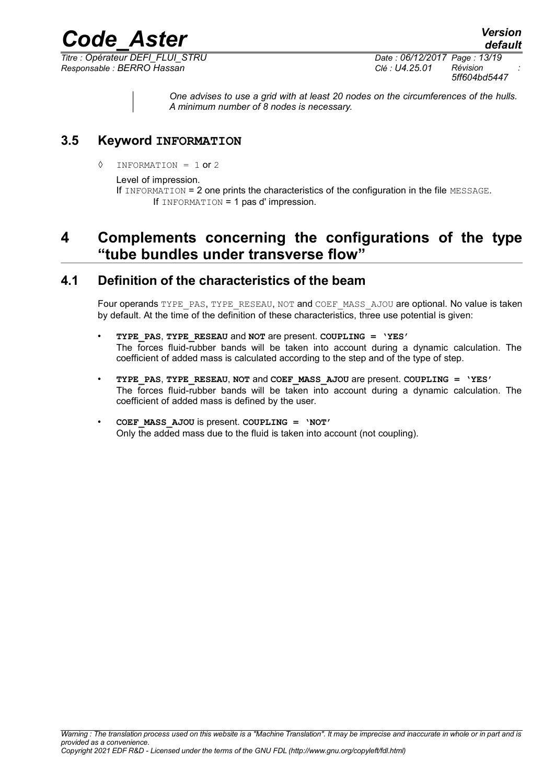*Titre : Opérateur DEFI\_FLUI\_STRU Date : 06/12/2017 Page : 13/19 Responsable : BERRO Hassan Clé : U4.25.01 Révision :*

*5ff604bd5447*

*default*

*One advises to use a grid with at least 20 nodes on the circumferences of the hulls. A minimum number of 8 nodes is necessary.*

#### **3.5 Keyword INFORMATION**

 $\Diamond$  INFORMATION = 1 or 2

#### Level of impression.

If INFORMATION = 2 one prints the characteristics of the configuration in the file MESSAGE. If INFORMATION = 1 pas d' impression.

*Code\_Aster Version*

### **4 Complements concerning the configurations of the type "tube bundles under transverse flow"**

#### **4.1 Definition of the characteristics of the beam**

Four operands TYPE\_PAS, TYPE\_RESEAU, NOT and COEF\_MASS\_AJOU are optional. No value is taken by default. At the time of the definition of these characteristics, three use potential is given:

- **TYPE\_PAS**, **TYPE\_RESEAU** and **NOT** are present. **COUPLING = 'YES'** The forces fluid-rubber bands will be taken into account during a dynamic calculation. The coefficient of added mass is calculated according to the step and of the type of step.
- **TYPE\_PAS**, **TYPE\_RESEAU**, **NOT** and **COEF\_MASS\_AJOU** are present. **COUPLING = 'YES'** The forces fluid-rubber bands will be taken into account during a dynamic calculation. The coefficient of added mass is defined by the user.
- **COEF\_MASS\_AJOU** is present. **COUPLING = 'NOT'** Only the added mass due to the fluid is taken into account (not coupling).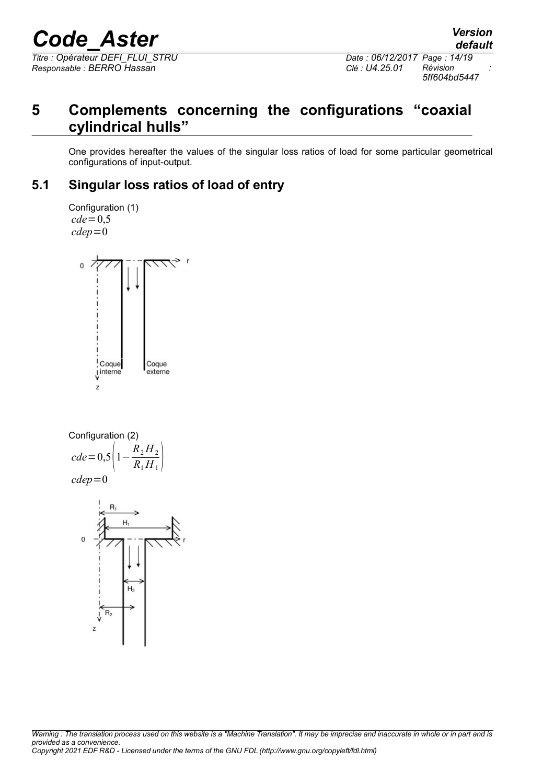*Titre : Opérateur DEFI\_FLUI\_STRU Date : 06/12/2017 Page : 14/19 Responsable : BERRO Hassan Clé : U4.25.01 Révision :*

### **5 Complements concerning the configurations "coaxial cylindrical hulls"**

One provides hereafter the values of the singular loss ratios of load for some particular geometrical configurations of input-output.

### **5.1 Singular loss ratios of load of entry**

Configuration (1)  $cde=0.5$ *cdep*=0



Configuration (2)

\n
$$
cde = 0.5 \left( 1 - \frac{R_2 H_2}{R_1 H_1} \right)
$$
\n
$$
cdep = 0
$$

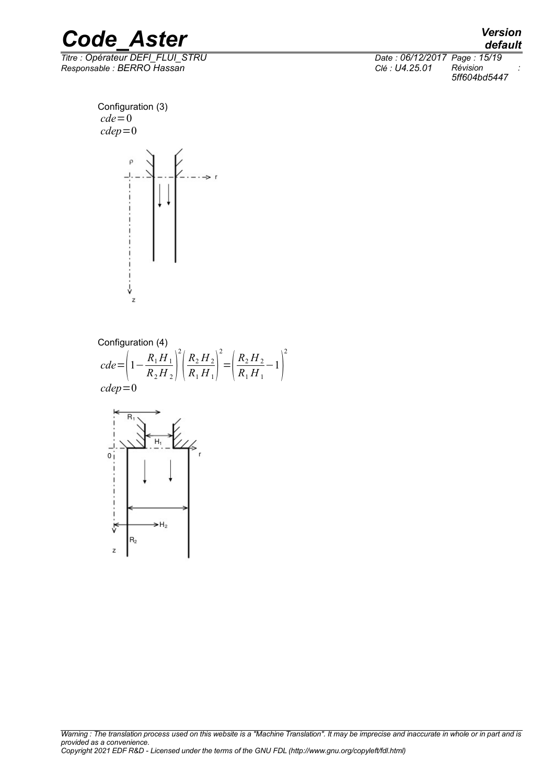*Titre : Opérateur DEFI\_FLUI\_STRU Date : 06/12/2017 Page : 15/19 Responsable : BERRO Hassan Clé : U4.25.01 Révision :*

*default 5ff604bd5447*

Configuration (3)  $cde=0$ *cdep*=0



Configuration (4)

*cde*= 1−  $R_1H_1$  $\overline{R_2H_2}$  |  $\overline{\phantom{a}}$ 2  $\overline{I}$  $R_2 H_2$  $\overline{R_1 H_1}$  <sup>-</sup> 2  $=\left(\frac{1}{I}\right)$  $R_2 H_2$  $\left( \frac{R_2 H_2}{R_1 H_1} - 1 \right)$ 2 *cdep*=0

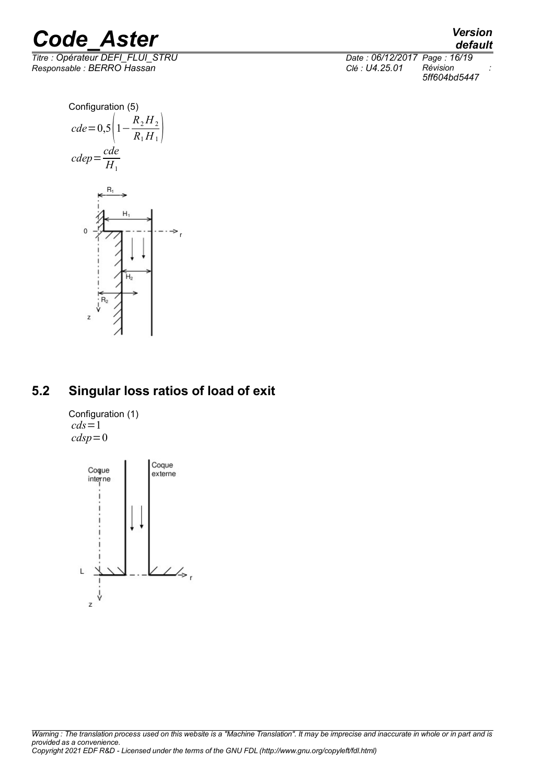

*Titre : Opérateur DEFI\_FLUI\_STRU Date : 06/12/2017 Page : 16/19 Responsable : BERRO Hassan Clé : U4.25.01 Révision :*

*default 5ff604bd5447*





### **5.2 Singular loss ratios of load of exit**

Configuration (1)  $cds=1$  $cdsp=0$ 

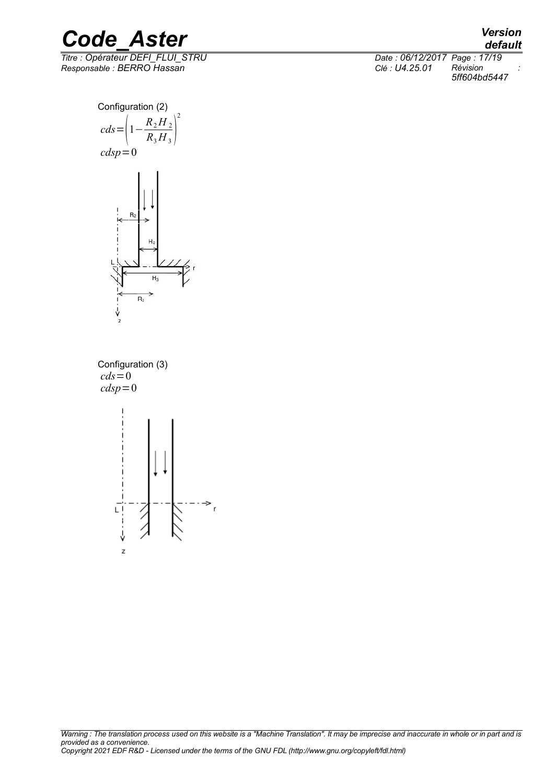*Responsable : BERRO Hassan Clé : U4.25.01 Révision :*

*default Titre : Opérateur DEFI\_FLUI\_STRU Date : 06/12/2017 Page : 17/19 5ff604bd5447*





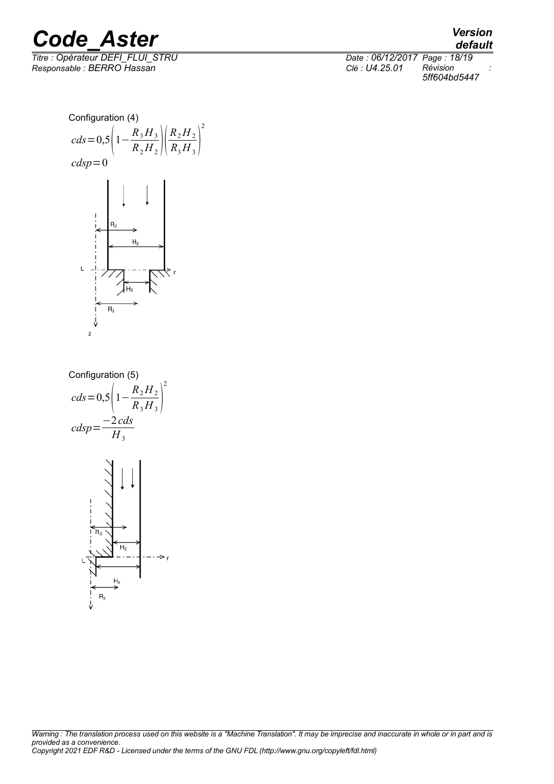

*default Titre : Opérateur DEFI\_FLUI\_STRU Date : 06/12/2017 Page : 18/19 5ff604bd5447*

Configuration (4)  $R_3H_3$  $R_2H_2$ *cds*=0,5 1−  $R_2H_2$   $\sqrt{I}$  $\overline{R_3H_3}$  $cdsp=0$  $H<sub>2</sub>$  $R_3$  $\overline{z}$ 

2